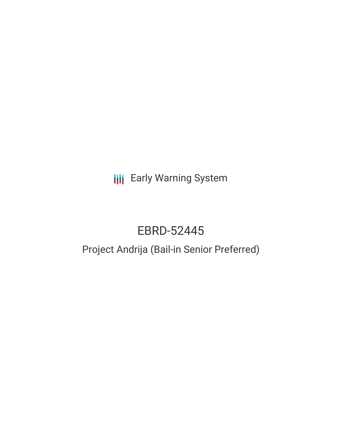**III** Early Warning System

# EBRD-52445

# Project Andrija (Bail-in Senior Preferred)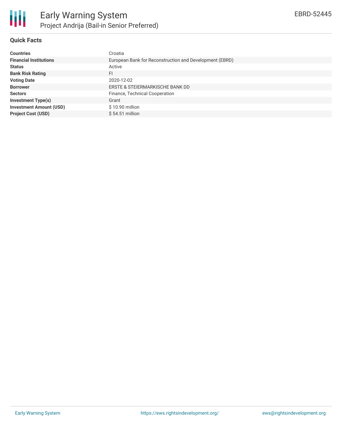

## **Quick Facts**

| <b>Countries</b>               | Croatia                                                 |
|--------------------------------|---------------------------------------------------------|
| <b>Financial Institutions</b>  | European Bank for Reconstruction and Development (EBRD) |
| <b>Status</b>                  | Active                                                  |
| <b>Bank Risk Rating</b>        | FI                                                      |
| <b>Voting Date</b>             | 2020-12-02                                              |
| <b>Borrower</b>                | ERSTE & STEIERMARKISCHE BANK DD                         |
| <b>Sectors</b>                 | Finance, Technical Cooperation                          |
| <b>Investment Type(s)</b>      | Grant                                                   |
| <b>Investment Amount (USD)</b> | $$10.90$ million                                        |
| <b>Project Cost (USD)</b>      | $$54.51$ million                                        |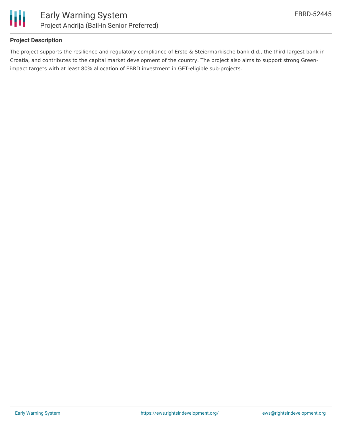

### **Project Description**

The project supports the resilience and regulatory compliance of Erste & Steiermarkische bank d.d., the third-largest bank in Croatia, and contributes to the capital market development of the country. The project also aims to support strong Greenimpact targets with at least 80% allocation of EBRD investment in GET-eligible sub-projects.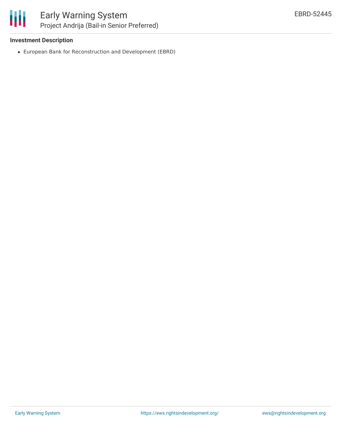冊

#### **Investment Description**

European Bank for Reconstruction and Development (EBRD)